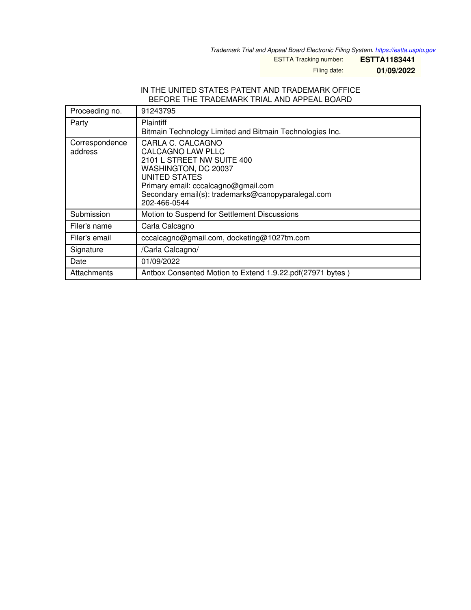*Trademark Trial and Appeal Board Electronic Filing System. <https://estta.uspto.gov>*

ESTTA Tracking number: **ESTTA1183441**

Filing date: **01/09/2022**

## IN THE UNITED STATES PATENT AND TRADEMARK OFFICE BEFORE THE TRADEMARK TRIAL AND APPEAL BOARD

| Proceeding no.            | 91243795                                                                                                                                                                                                                          |
|---------------------------|-----------------------------------------------------------------------------------------------------------------------------------------------------------------------------------------------------------------------------------|
| Party                     | <b>Plaintiff</b><br>Bitmain Technology Limited and Bitmain Technologies Inc.                                                                                                                                                      |
| Correspondence<br>address | CARLA C. CALCAGNO<br>CALCAGNO LAW PLLC<br>2101 L STREET NW SUITE 400<br>WASHINGTON, DC 20037<br><b>UNITED STATES</b><br>Primary email: cccalcagno@gmail.com<br>Secondary email(s): trademarks@canopyparalegal.com<br>202-466-0544 |
| Submission                | Motion to Suspend for Settlement Discussions                                                                                                                                                                                      |
| Filer's name              | Carla Calcagno                                                                                                                                                                                                                    |
| Filer's email             | cccalcagno@gmail.com, docketing@1027tm.com                                                                                                                                                                                        |
| Signature                 | /Carla Calcagno/                                                                                                                                                                                                                  |
| Date                      | 01/09/2022                                                                                                                                                                                                                        |
| Attachments               | Antbox Consented Motion to Extend 1.9.22.pdf(27971 bytes)                                                                                                                                                                         |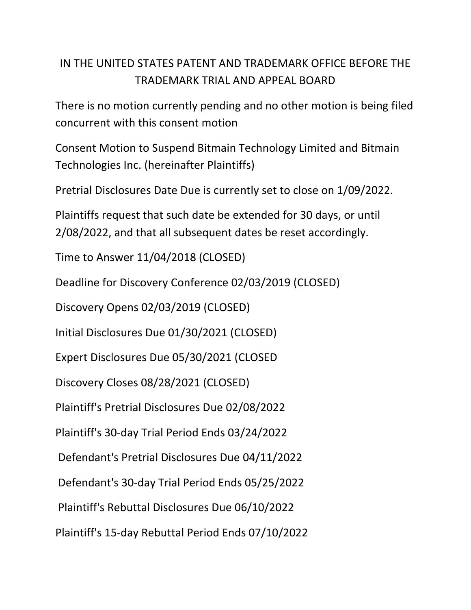## IN THE UNITED STATES PATENT AND TRADEMARK OFFICE BEFORE THE TRADEMARK TRIAL AND APPEAL BOARD

There is no motion currently pending and no other motion is being filed concurrent with this consent motion

Consent Motion to Suspend Bitmain Technology Limited and Bitmain Technologies Inc. (hereinafter Plaintiffs)

Pretrial Disclosures Date Due is currently set to close on 1/09/2022.

Plaintiffs request that such date be extended for 30 days, or until 2/08/2022, and that all subsequent dates be reset accordingly.

Time to Answer 11/04/2018 (CLOSED)

Deadline for Discovery Conference 02/03/2019 (CLOSED)

Discovery Opens 02/03/2019 (CLOSED)

Initial Disclosures Due 01/30/2021 (CLOSED)

Expert Disclosures Due 05/30/2021 (CLOSED

Discovery Closes 08/28/2021 (CLOSED)

Plaintiff's Pretrial Disclosures Due 02/08/2022

Plaintiff's 30-day Trial Period Ends 03/24/2022

Defendant's Pretrial Disclosures Due 04/11/2022

Defendant's 30-day Trial Period Ends 05/25/2022

Plaintiff's Rebuttal Disclosures Due 06/10/2022

Plaintiff's 15-day Rebuttal Period Ends 07/10/2022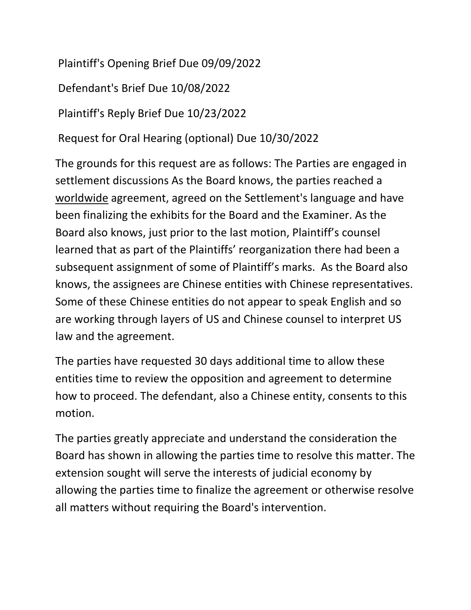Plaintiff's Opening Brief Due 09/09/2022

Defendant's Brief Due 10/08/2022

Plaintiff's Reply Brief Due 10/23/2022

Request for Oral Hearing (optional) Due 10/30/2022

The grounds for this request are as follows: The Parties are engaged in settlement discussions As the Board knows, the parties reached a worldwide agreement, agreed on the Settlement's language and have been finalizing the exhibits for the Board and the Examiner. As the Board also knows, just prior to the last motion, Plaintiff's counsel learned that as part of the Plaintiffs' reorganization there had been a subsequent assignment of some of Plaintiff's marks. As the Board also knows, the assignees are Chinese entities with Chinese representatives. Some of these Chinese entities do not appear to speak English and so are working through layers of US and Chinese counsel to interpret US law and the agreement.

The parties have requested 30 days additional time to allow these entities time to review the opposition and agreement to determine how to proceed. The defendant, also a Chinese entity, consents to this motion.

The parties greatly appreciate and understand the consideration the Board has shown in allowing the parties time to resolve this matter. The extension sought will serve the interests of judicial economy by allowing the parties time to finalize the agreement or otherwise resolve all matters without requiring the Board's intervention.